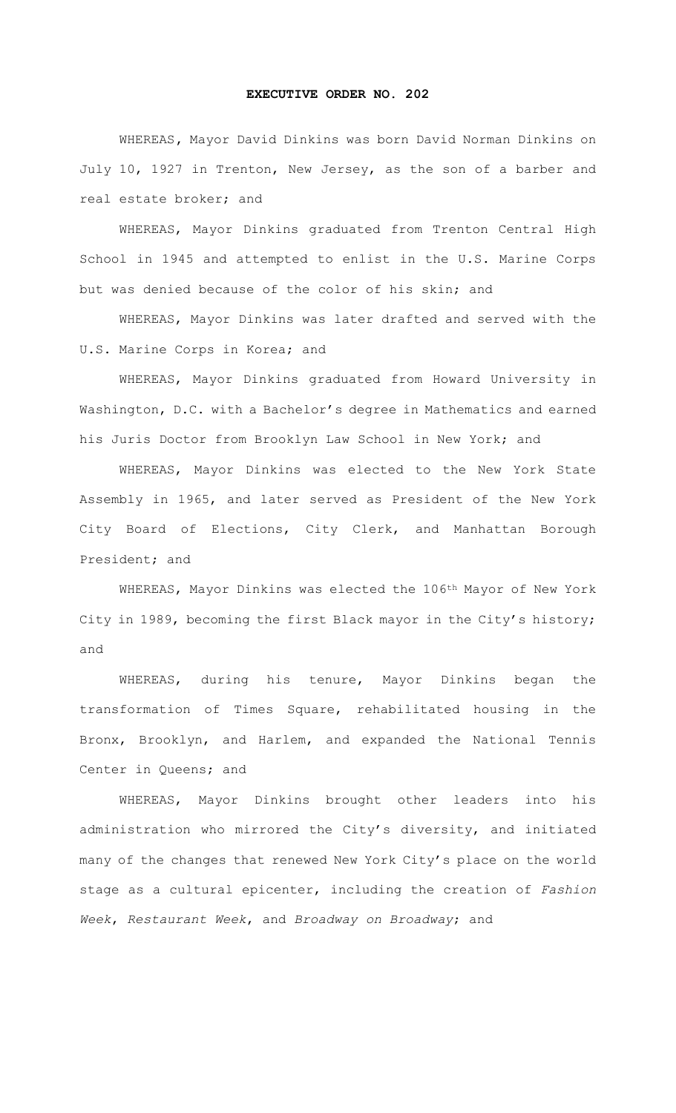## **EXECUTIVE ORDER NO. 202**

WHEREAS**,** Mayor David Dinkins was born David Norman Dinkins on July 10, 1927 in Trenton, New Jersey, as the son of a barber and real estate broker; and

WHEREAS, Mayor Dinkins graduated from Trenton Central High School in 1945 and attempted to enlist in the U.S. Marine Corps but was denied because of the color of his skin; and

WHEREAS, Mayor Dinkins was later drafted and served with the U.S. Marine Corps in Korea; and

WHEREAS, Mayor Dinkins graduated from Howard University in Washington, D.C. with a Bachelor's degree in Mathematics and earned his Juris Doctor from Brooklyn Law School in New York; and

WHEREAS, Mayor Dinkins was elected to the New York State Assembly in 1965, and later served as President of the New York City Board of Elections, City Clerk, and Manhattan Borough President; and

WHEREAS, Mayor Dinkins was elected the 106<sup>th</sup> Mayor of New York City in 1989, becoming the first Black mayor in the City's history; and

WHEREAS, during his tenure, Mayor Dinkins began the transformation of Times Square, rehabilitated housing in the Bronx, Brooklyn, and Harlem, and expanded the National Tennis Center in Queens; and

WHEREAS, Mayor Dinkins brought other leaders into his administration who mirrored the City's diversity, and initiated many of the changes that renewed New York City's place on the world stage as a cultural epicenter, including the creation of *Fashion Week*, *Restaurant Week*, and *Broadway on Broadway*; and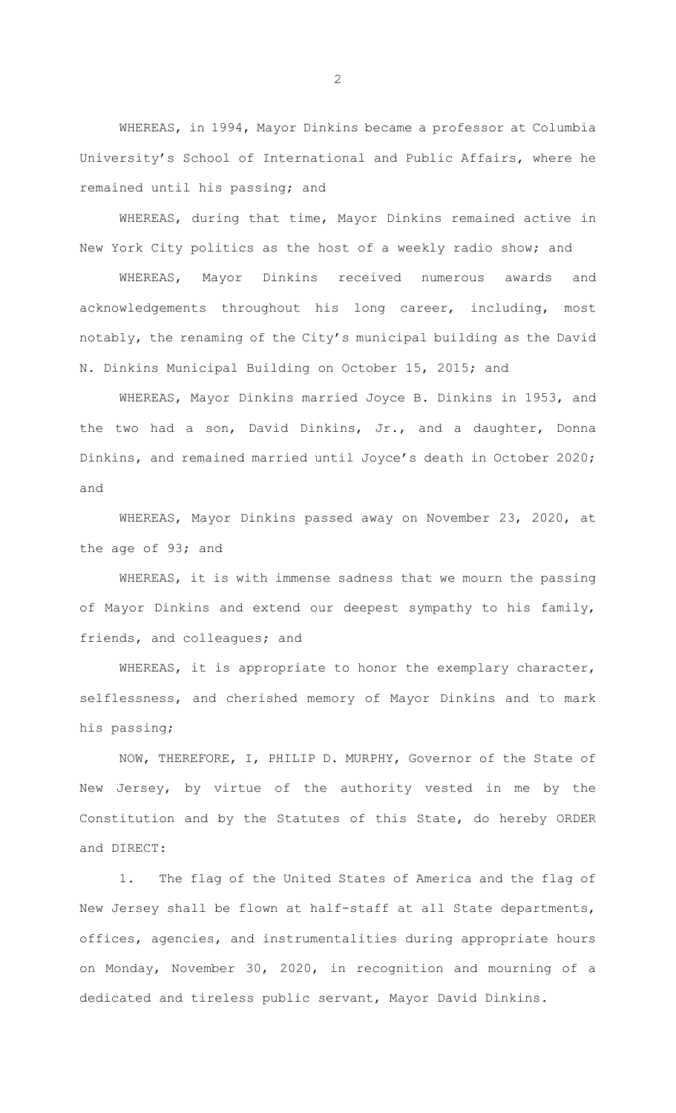WHEREAS, in 1994, Mayor Dinkins became a professor at Columbia University's School of International and Public Affairs, where he remained until his passing; and

WHEREAS, during that time, Mayor Dinkins remained active in New York City politics as the host of a weekly radio show; and

WHEREAS, Mayor Dinkins received numerous awards and acknowledgements throughout his long career, including, most notably, the renaming of the City's municipal building as the David N. Dinkins Municipal Building on October 15, 2015; and

WHEREAS, Mayor Dinkins married Joyce B. Dinkins in 1953, and the two had a son, David Dinkins, Jr., and a daughter, Donna Dinkins, and remained married until Joyce's death in October 2020; and

WHEREAS, Mayor Dinkins passed away on November 23, 2020, at the age of 93; and

WHEREAS, it is with immense sadness that we mourn the passing of Mayor Dinkins and extend our deepest sympathy to his family, friends, and colleagues; and

WHEREAS, it is appropriate to honor the exemplary character, selflessness, and cherished memory of Mayor Dinkins and to mark his passing;

 NOW, THEREFORE, I, PHILIP D. MURPHY, Governor of the State of New Jersey, by virtue of the authority vested in me by the Constitution and by the Statutes of this State, do hereby ORDER and DIRECT:

1. The flag of the United States of America and the flag of New Jersey shall be flown at half-staff at all State departments, offices, agencies, and instrumentalities during appropriate hours on Monday, November 30, 2020, in recognition and mourning of a dedicated and tireless public servant, Mayor David Dinkins.

2